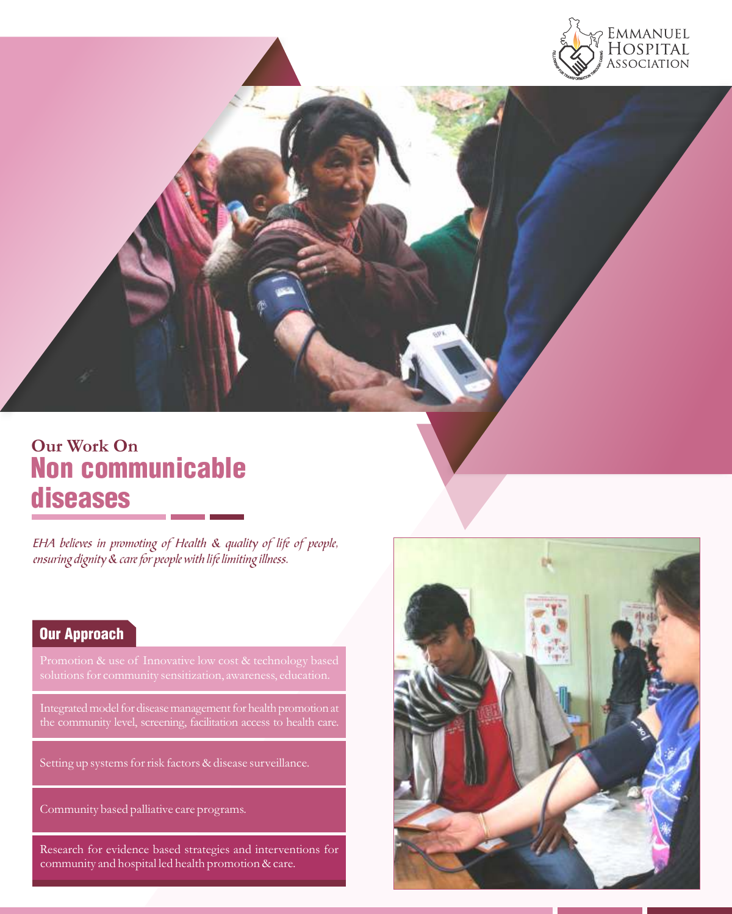

# **Our Work On** Non communicable diseases

EHA believes in promoting of Health & quality of life of people, ensuring dignity & care for people with life limiting illness.

## Our Approach

the community level, screening, facilitation access to health care.

Setting up systems for risk factors & disease surveillance.

Community based palliative care programs.

Research for evidence based strategies and interventions for community and hospital led health promotion & care.